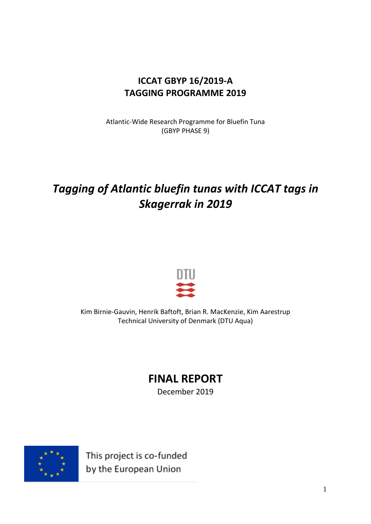## **ICCAT GBYP 16/2019-A TAGGING PROGRAMME 2019**

Atlantic-Wide Research Programme for Bluefin Tuna (GBYP PHASE 9)

## *Tagging of Atlantic bluefin tunas with ICCAT tags in Skagerrak in 2019*



Kim Birnie-Gauvin, Henrik Baftoft, Brian R. MacKenzie, Kim Aarestrup Technical University of Denmark (DTU Aqua)

# **FINAL REPORT**

December 2019



This project is co-funded by the European Union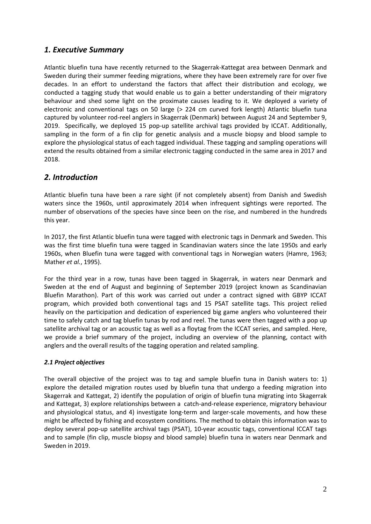## *1. Executive Summary*

Atlantic bluefin tuna have recently returned to the Skagerrak-Kattegat area between Denmark and Sweden during their summer feeding migrations, where they have been extremely rare for over five decades. In an effort to understand the factors that affect their distribution and ecology, we conducted a tagging study that would enable us to gain a better understanding of their migratory behaviour and shed some light on the proximate causes leading to it. We deployed a variety of electronic and conventional tags on 50 large (> 224 cm curved fork length) Atlantic bluefin tuna captured by volunteer rod-reel anglers in Skagerrak (Denmark) between August 24 and September 9, 2019. Specifically, we deployed 15 pop-up satellite archival tags provided by ICCAT. Additionally, sampling in the form of a fin clip for genetic analysis and a muscle biopsy and blood sample to explore the physiological status of each tagged individual. These tagging and sampling operations will extend the results obtained from a similar electronic tagging conducted in the same area in 2017 and 2018.

## *2. Introduction*

Atlantic bluefin tuna have been a rare sight (if not completely absent) from Danish and Swedish waters since the 1960s, until approximately 2014 when infrequent sightings were reported. The number of observations of the species have since been on the rise, and numbered in the hundreds this year.

In 2017, the first Atlantic bluefin tuna were tagged with electronic tags in Denmark and Sweden. This was the first time bluefin tuna were tagged in Scandinavian waters since the late 1950s and early 1960s, when Bluefin tuna were tagged with conventional tags in Norwegian waters (Hamre, 1963; Mather *et al.*, 1995).

For the third year in a row, tunas have been tagged in Skagerrak, in waters near Denmark and Sweden at the end of August and beginning of September 2019 (project known as Scandinavian Bluefin Marathon). Part of this work was carried out under a contract signed with GBYP ICCAT program, which provided both conventional tags and 15 PSAT satellite tags. This project relied heavily on the participation and dedication of experienced big game anglers who volunteered their time to safely catch and tag bluefin tunas by rod and reel. The tunas were then tagged with a pop up satellite archival tag or an acoustic tag as well as a floytag from the ICCAT series, and sampled. Here, we provide a brief summary of the project, including an overview of the planning, contact with anglers and the overall results of the tagging operation and related sampling.

#### *2.1 Project objectives*

The overall objective of the project was to tag and sample bluefin tuna in Danish waters to: 1) explore the detailed migration routes used by bluefin tuna that undergo a feeding migration into Skagerrak and Kattegat, 2) identify the population of origin of bluefin tuna migrating into Skagerrak and Kattegat, 3) explore relationships between a catch-and-release experience, migratory behaviour and physiological status, and 4) investigate long-term and larger-scale movements, and how these might be affected by fishing and ecosystem conditions. The method to obtain this information was to deploy several pop-up satellite archival tags (PSAT), 10-year acoustic tags, conventional ICCAT tags and to sample (fin clip, muscle biopsy and blood sample) bluefin tuna in waters near Denmark and Sweden in 2019.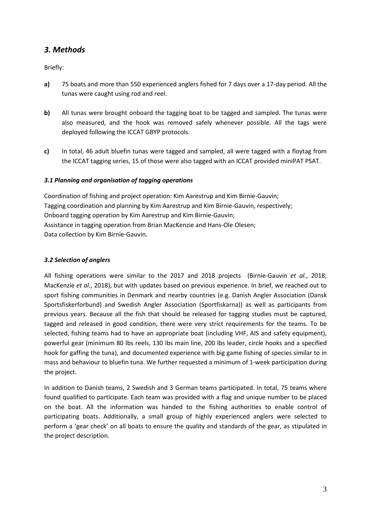## *3. Methods*

Briefly:

- **a)** 75 boats and more than 550 experienced anglers fished for 7 days over a 17-day period. All the tunas were caught using rod and reel.
- **b)** All tunas were brought onboard the tagging boat to be tagged and sampled. The tunas were also measured, and the hook was removed safely whenever possible. All the tags were deployed following the ICCAT GBYP protocols.
- **c)** In total, 46 adult bluefin tunas were tagged and sampled, all were tagged with a floytag from the ICCAT tagging series, 15 of those were also tagged with an ICCAT provided miniPAT PSAT.

#### *3.1 Planning and organisation of tagging operations*

Coordination of fishing and project operation: Kim Aarestrup and Kim Birnie-Gauvin; Tagging coordination and planning by Kim Aarestrup and Kim Birnie-Gauvin, respectively; Onboard tagging operation by Kim Aarestrup and Kim Birnie-Gauvin; Assistance in tagging operation from Brian MacKenzie and Hans-Ole Olesen; Data collection by Kim Birnie-Gauvin.

#### *3.2 Selection of anglers*

All fishing operations were similar to the 2017 and 2018 projects (Birnie-Gauvin *et al.*, 2018; MacKenzie *et al.*, 2018), but with updates based on previous experience. In brief, we reached out to sport fishing communities in Denmark and nearby countries (e.g. Danish Angler Association (Dansk Sportsfiskerforbund) and Swedish Angler Association (Sportfiskarna)) as well as participants from previous years. Because all the fish that should be released for tagging studies must be captured, tagged and released in good condition, there were very strict requirements for the teams. To be selected, fishing teams had to have an appropriate boat (including VHF, AIS and safety equipment), powerful gear (minimum 80 lbs reels, 130 lbs main line, 200 lbs leader, circle hooks and a specified hook for gaffing the tuna), and documented experience with big game fishing of species similar to in mass and behaviour to bluefin tuna. We further requested a minimum of 1-week participation during the project.

In addition to Danish teams, 2 Swedish and 3 German teams participated. In total, 75 teams where found qualified to participate. Each team was provided with a flag and unique number to be placed on the boat. All the information was handed to the fishing authorities to enable control of participating boats. Additionally, a small group of highly experienced anglers were selected to perform a 'gear check' on all boats to ensure the quality and standards of the gear, as stipulated in the project description.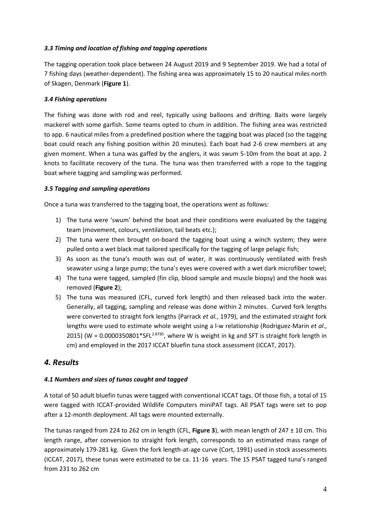#### *3.3 Timing and location of fishing and tagging operations*

The tagging operation took place between 24 August 2019 and 9 September 2019. We had a total of 7 fishing days (weather-dependent). The fishing area was approximately 15 to 20 nautical miles north of Skagen, Denmark (**Figure 1**).

#### *3.4 Fishing operations*

The fishing was done with rod and reel, typically using balloons and drifting. Baits were largely mackerel with some garfish. Some teams opted to chum in addition. The fishing area was restricted to app. 6 nautical miles from a predefined position where the tagging boat was placed (so the tagging boat could reach any fishing position within 20 minutes). Each boat had 2-6 crew members at any given moment. When a tuna was gaffed by the anglers, it was swum 5-10m from the boat at app. 2 knots to facilitate recovery of the tuna. The tuna was then transferred with a rope to the tagging boat where tagging and sampling was performed.

#### *3.5 Tagging and sampling operations*

Once a tuna was transferred to the tagging boat, the operations went as follows:

- 1) The tuna were 'swum' behind the boat and their conditions were evaluated by the tagging team (movement, colours, ventilation, tail beats etc.);
- 2) The tuna were then brought on-board the tagging boat using a winch system; they were pulled onto a wet black mat tailored specifically for the tagging of large pelagic fish;
- 3) As soon as the tuna's mouth was out of water, it was continuously ventilated with fresh seawater using a large pump; the tuna's eyes were covered with a wet dark microfiber towel;
- 4) The tuna were tagged, sampled (fin clip, blood sample and muscle biopsy) and the hook was removed (**Figure 2**);
- 5) The tuna was measured (CFL, curved fork length) and then released back into the water. Generally, all tagging, sampling and release was done within 2 minutes. Curved fork lengths were converted to straight fork lengths (Parrack *et al.*, 1979), and the estimated straight fork lengths were used to estimate whole weight using a l-w relationship (Rodriguez-Marin *et al.*, 2015) (W = 0.0000350801\*SFL<sup>2.8785</sup>, where W is weight in kg and SFT is straight fork length in cm) and employed in the 2017 ICCAT bluefin tuna stock assessment (ICCAT, 2017).

## *4. Results*

#### *4.1 Numbers and sizes of tunas caught and tagged*

A total of 50 adult bluefin tunas were tagged with conventional ICCAT tags. Of those fish, a total of 15 were tagged with ICCAT-provided Wildlife Computers miniPAT tags. All PSAT tags were set to pop after a 12-month deployment. All tags were mounted externally.

The tunas ranged from 224 to 262 cm in length (CFL, **Figure 3**), with mean length of 247 ± 10 cm. This length range, after conversion to straight fork length, corresponds to an estimated mass range of approximately 179-281 kg. Given the fork length-at-age curve (Cort, 1991) used in stock assessments (ICCAT, 2017), these tunas were estimated to be ca. 11-16 years. The 15 PSAT tagged tuna's ranged from 231 to 262 cm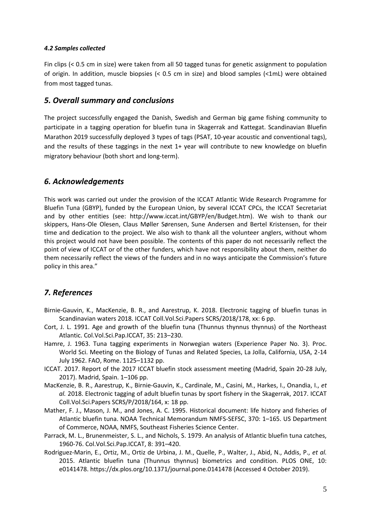#### *4.2 Samples collected*

Fin clips (< 0.5 cm in size) were taken from all 50 tagged tunas for genetic assignment to population of origin. In addition, muscle biopsies (< 0.5 cm in size) and blood samples (<1mL) were obtained from most tagged tunas.

#### *5. Overall summary and conclusions*

The project successfully engaged the Danish, Swedish and German big game fishing community to participate in a tagging operation for bluefin tuna in Skagerrak and Kattegat. Scandinavian Bluefin Marathon 2019 successfully deployed 3 types of tags (PSAT, 10-year acoustic and conventional tags), and the results of these taggings in the next 1+ year will contribute to new knowledge on bluefin migratory behaviour (both short and long-term).

## *6. Acknowledgements*

This work was carried out under the provision of the ICCAT Atlantic Wide Research Programme for Bluefin Tuna (GBYP), funded by the European Union, by several ICCAT CPCs, the ICCAT Secretariat and by other entities (see: http://www.iccat.int/GBYP/en/Budget.htm). We wish to thank our skippers, Hans-Ole Olesen, Claus Møller Sørensen, Sune Andersen and Bertel Kristensen, for their time and dedication to the project. We also wish to thank all the volunteer anglers, without whom this project would not have been possible. The contents of this paper do not necessarily reflect the point of view of ICCAT or of the other funders, which have not responsibility about them, neither do them necessarily reflect the views of the funders and in no ways anticipate the Commission's future policy in this area."

## *7. References*

- Birnie-Gauvin, K., MacKenzie, B. R., and Aarestrup, K. 2018. Electronic tagging of bluefin tunas in Scandinavian waters 2018. ICCAT Coll.Vol.Sci.Papers SCRS/2018/178, xx: 6 pp.
- Cort, J. L. 1991. Age and growth of the bluefin tuna (Thunnus thynnus thynnus) of the Northeast Atlantic. Col.Vol.Sci.Pap.ICCAT, 35: 213–230.
- Hamre, J. 1963. Tuna tagging experiments in Norwegian waters (Experience Paper No. 3). Proc. World Sci. Meeting on the Biology of Tunas and Related Species, La Jolla, California, USA, 2-14 July 1962. FAO, Rome. 1125–1132 pp.
- ICCAT. 2017. Report of the 2017 ICCAT bluefin stock assessment meeting (Madrid, Spain 20-28 July, 2017). Madrid, Spain. 1–106 pp.
- MacKenzie, B. R., Aarestrup, K., Birnie-Gauvin, K., Cardinale, M., Casini, M., Harkes, I., Onandia, I., *et al.* 2018. Electronic tagging of adult bluefin tunas by sport fishery in the Skagerrak, 2017. ICCAT Coll.Vol.Sci.Papers SCRS/P/2018/164, x: 18 pp.
- Mather, F. J., Mason, J. M., and Jones, A. C. 1995. Historical document: life history and fisheries of Atlantic bluefin tuna. NOAA Technical Memorandum NMFS-SEFSC, 370: 1–165. US Department of Commerce, NOAA, NMFS, Southeast Fisheries Science Center.
- Parrack, M. L., Brunenmeister, S. L., and Nichols, S. 1979. An analysis of Atlantic bluefin tuna catches, 1960-76. Col.Vol.Sci.Pap.ICCAT, 8: 391–420.
- Rodriguez-Marin, E., Ortiz, M., Ortiz de Urbina, J. M., Quelle, P., Walter, J., Abid, N., Addis, P., *et al.* 2015. Atlantic bluefin tuna (Thunnus thynnus) biometrics and condition. PLOS ONE, 10: e0141478. https://dx.plos.org/10.1371/journal.pone.0141478 (Accessed 4 October 2019).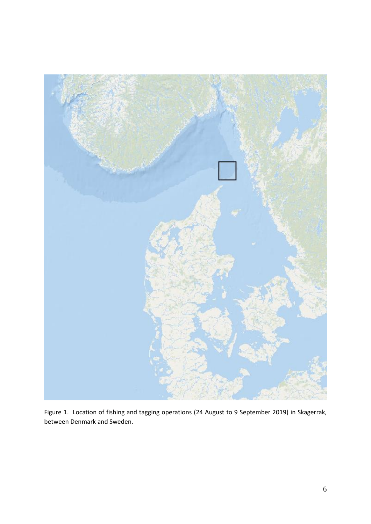

Figure 1. Location of fishing and tagging operations (24 August to 9 September 2019) in Skagerrak, between Denmark and Sweden.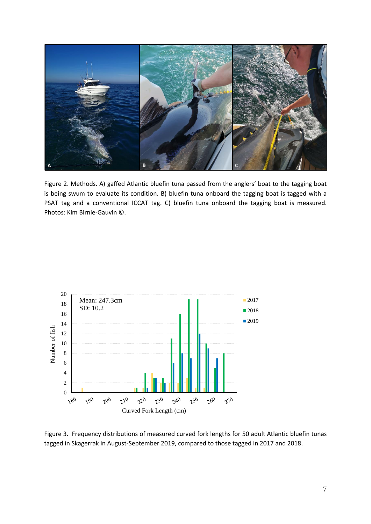

Figure 2. Methods. A) gaffed Atlantic bluefin tuna passed from the anglers' boat to the tagging boat is being swum to evaluate its condition. B) bluefin tuna onboard the tagging boat is tagged with a PSAT tag and a conventional ICCAT tag. C) bluefin tuna onboard the tagging boat is measured. Photos: Kim Birnie-Gauvin ©.



Figure 3. Frequency distributions of measured curved fork lengths for 50 adult Atlantic bluefin tunas tagged in Skagerrak in August-September 2019, compared to those tagged in 2017 and 2018.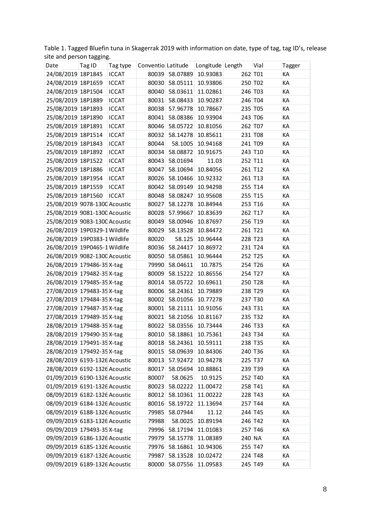Table 1. Tagged Bluefin tuna in Skagerrak 2019 with information on date, type of tag, tag ID's, release site and person tagging.

| Date                          | Tag ID | Tag type     | Conventio Latitude |          | Longitude Length |         | Vial    | Tagger |
|-------------------------------|--------|--------------|--------------------|----------|------------------|---------|---------|--------|
| 24/08/2019 18P1845            |        | <b>ICCAT</b> | 80039              | 58.07889 | 10.93083         | 262 T01 |         | KA     |
| 24/08/2019 18P1659            |        | <b>ICCAT</b> | 80030              | 58.05111 | 10.93806         |         | 250 T02 | KA     |
| 24/08/2019 18P1504            |        | <b>ICCAT</b> | 80040              | 58.03611 | 11.02861         | 246 T03 |         | KA     |
| 25/08/2019 18P1889            |        | <b>ICCAT</b> | 80031              | 58.08433 | 10.90287         |         | 246 T04 | KA     |
| 25/08/2019 18P1893            |        | <b>ICCAT</b> | 80038              | 57.96778 | 10.78667         | 235 T05 |         | KA     |
| 25/08/2019 18P1890            |        | <b>ICCAT</b> | 80041              | 58.08386 | 10.93904         |         | 243 T06 | KA     |
| 25/08/2019 18P1891            |        | <b>ICCAT</b> | 80046              | 58.05722 | 10.81056         |         | 262 T07 | KA     |
| 25/08/2019 18P1514            |        | <b>ICCAT</b> | 80032              | 58.14278 | 10.85611         |         | 231 T08 | KA     |
| 25/08/2019 18P1843            |        | <b>ICCAT</b> | 80044              | 58.1005  | 10.94168         |         | 241 T09 | KA     |
| 25/08/2019 18P1892            |        | <b>ICCAT</b> | 80034              | 58.08872 | 10.91675         |         | 243 T10 | KA     |
| 25/08/2019 18P1522            |        | <b>ICCAT</b> | 80043              | 58.01694 | 11.03            |         | 252 T11 | KA     |
| 25/08/2019 18P1886            |        | <b>ICCAT</b> | 80047              | 58.10694 | 10.84056         |         | 261 T12 | KA     |
| 25/08/2019 18P1954            |        | <b>ICCAT</b> | 80026              | 58.10466 | 10.92332         |         | 261 T13 | KA     |
| 25/08/2019 18P1559            |        | <b>ICCAT</b> | 80042              | 58.09149 | 10.94298         |         | 255 T14 | KA     |
| 25/08/2019 18P1560            |        | <b>ICCAT</b> | 80048              | 58.08247 | 10.95608         |         | 255 T15 | KA     |
| 25/08/2019 9078-1300 Acoustic |        |              | 80027              | 58.12278 | 10.84944         |         | 253 T16 | KA     |
| 25/08/2019 9081-1300 Acoustic |        |              | 80028              | 57.99667 | 10.83639         |         | 262 T17 | KA     |
| 25/08/2019 9083-1300 Acoustic |        |              | 80049              | 58.00946 | 10.87697         |         | 256 T19 | KA     |
| 26/08/2019 19P0329-1 Wildlife |        |              | 80029              | 58.13528 | 10.84472         |         | 261 T21 | KA     |
| 26/08/2019 19P0383-1 Wildlife |        |              | 80020              | 58.125   | 10.96444         |         | 228 T23 | KA     |
| 26/08/2019 19P0465-1 Wildlife |        |              | 80036              | 58.24417 | 10.86972         |         | 231 T24 | KA     |
| 26/08/2019 9082-1300 Acoustic |        |              | 80050              | 58.05861 | 10.96444         |         | 252 T25 | KA     |
| 26/08/2019 179486-35 X-tag    |        |              | 79990              | 58.04611 | 10.7875          |         | 254 T26 | KA     |
| 26/08/2019 179482-35 X-tag    |        |              | 80009              | 58.15222 | 10.86556         |         | 254 T27 | KA     |
| 26/08/2019 179485-35 X-tag    |        |              | 80014              | 58.05722 | 10.69611         |         | 250 T28 | КA     |
| 27/08/2019 179483-35 X-tag    |        |              | 80006              | 58.24361 | 10.79889         | 238 T29 |         | KA     |
| 27/08/2019 179484-35 X-tag    |        |              | 80002              | 58.01056 | 10.77278         |         | 237 T30 | KA     |
| 27/08/2019 179487-35 X-tag    |        |              | 80001              | 58.21111 | 10.91056         |         | 243 T31 | КA     |
| 27/08/2019 179489-35 X-tag    |        |              | 80021              | 58.21056 | 10.81167         | 235 T32 |         | KA     |
| 28/08/2019 179488-35 X-tag    |        |              | 80022              | 58.03556 | 10.73444         |         | 246 T33 | KA     |
| 28/08/2019 179490-35 X-tag    |        |              | 80010              | 58.18861 | 10.75361         |         | 243 T34 | КA     |
| 28/08/2019 179491-35 X-tag    |        |              | 80018              | 58.24361 | 10.59111         |         | 238 T35 | KA     |
| 28/08/2019 179492-35 X-tag    |        |              | 80015              | 58.09639 | 10.84306         |         | 240 T36 | КA     |
| 28/08/2019 6193-1326 Acoustic |        |              | 80013              | 57.92472 | 10.94278         |         | 225 T37 | КA     |
| 28/08/2019 6192-1326 Acoustic |        |              | 80017              | 58.05694 | 10.88861         |         | 239 T39 | КA     |
| 01/09/2019 6190-1326 Acoustic |        |              | 80007              | 58.0625  | 10.9125          |         | 252 T40 | КA     |
| 01/09/2019 6191-1326 Acoustic |        |              | 80023              | 58.02222 | 11.00472         |         | 258 T41 | КA     |
| 08/09/2019 6182-1326 Acoustic |        |              | 80012              | 58.10361 | 11.00222         |         | 228 T43 | КA     |
| 08/09/2019 6184-1326 Acoustic |        |              | 80016              | 58.19722 | 11.13694         |         | 257 T44 | КA     |
| 08/09/2019 6188-1326 Acoustic |        |              | 79985              | 58.07944 | 11.12            |         | 244 T45 | КA     |
| 09/09/2019 6183-1326 Acoustic |        |              | 79988              | 58.0025  | 10.89194         |         | 246 T42 | КA     |
| 09/09/2019 179493-35 X-tag    |        |              | 79996              | 58.17194 | 11.01083         |         | 257 T46 | КA     |
| 09/09/2019 6186-1326 Acoustic |        |              | 79979              | 58.15778 | 11.08389         | 240 NA  |         | КA     |
| 09/09/2019 6185-1326 Acoustic |        |              | 79976              | 58.16861 | 10.94306         |         | 255 T47 | КA     |
| 09/09/2019 6187-1326 Acoustic |        |              | 79987              | 58.13528 | 10.02472         |         | 224 T48 | KA     |
| 09/09/2019 6189-1326 Acoustic |        |              | 80000              | 58.07556 | 11.09583         |         | 245 T49 | КA     |